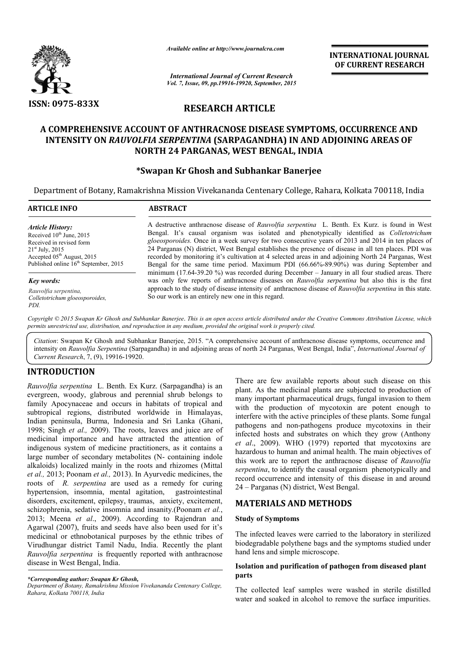

*Available online at http://www.journalcra.com*

**INTERNATIONAL INTERNATIONAL JOURNAL OF CURRENT RESEARCH** 

*International Journal of Current Research Vol. 7, Issue, 09, pp.19916-19920, September, 2015*

# **RESEARCH ARTICLE**

# **A COMPREHENSIVE ACCOUNT OF ANTHRACNOSE DISEASE SYMPTOMS, OCCURRENCE AND INTENSITY ON** *RAUVOLFIA SERPENTINA*  **(SARPAGANDHA) IN AND ADJOINING AREAS OF NORTH 24 PARGANAS, WEST BENGAL, INDIA**

# **\*Swapan Kr Ghosh and Subhankar Banerjee Swapan**

Department of Botany, Ramakrishna Mission Vivekananda Centenary College, Rahara, Kolkata 700118, India College, Rahara, 700118,

| <b>ABSTRACT</b>                                                                                                                                                                                                                                                                                                                                                                                                                                                                                                                                                                                                 |
|-----------------------------------------------------------------------------------------------------------------------------------------------------------------------------------------------------------------------------------------------------------------------------------------------------------------------------------------------------------------------------------------------------------------------------------------------------------------------------------------------------------------------------------------------------------------------------------------------------------------|
| A destructive anthracnose disease of <i>Rauvolfia serpentina</i> L. Benth. Ex Kurz, is found in West<br>Bengal. It's causal organism was isolated and phenotypically identified as Colletotrichum<br>gloeosporoides. Once in a week survey for two consecutive years of 2013 and 2014 in ten places of<br>24 Parganas (N) district. West Bengal establishes the presence of disease in all ten places. PDI was<br>recorded by monitoring it's cultivation at 4 selected areas in and adjoining North 24 Parganas, West<br>Bengal for the same time period. Maximum PDI (66.66%-89.90%) was during September and |
| minimum $(17.64-39.20\%)$ was recorded during December – January in all four studied areas. There<br>was only few reports of anthracnose diseases on Rauvolfia serpentina but also this is the first                                                                                                                                                                                                                                                                                                                                                                                                            |
| approach to the study of disease intensity of anthracnose disease of Rauvolfia serpentina in this state.<br>So our work is an entirely new one in this regard.                                                                                                                                                                                                                                                                                                                                                                                                                                                  |
|                                                                                                                                                                                                                                                                                                                                                                                                                                                                                                                                                                                                                 |

*permits unrestricted use, distribution, and reproduction in any medium, provided the original work is properly cited.*

Citation: Swapan Kr Ghosh and Subhankar Banerjee, 2015. "A comprehensive account of anthracnose disease symptoms, occurrence and Citation: Swapan Kr Ghosh and Subhankar Banerjee, 2015. "A comprehensive account of anthracnose disease symptoms, occurrence and<br>intensity on *Rauvolfia Serpentina* (Sarpagandha) in and adjoining areas of north 24 Parganas *Current Research*, 7, (9), 19916-19920.

# **INTRODUCTION**

*Rauvolfia serpentina* L. Benth. Ex Kurz. (Sarpagandha) is an evergreen, woody, glabrous and perennial shrub belongs to family Apocynaceae and occurs in habitats of tropical and subtropical regions, distributed worldwide in Himalayas, Indian peninsula, Burma, Indonesia and Sri Lanka (Ghani, 1998; Singh *et al.,* 2009). The roots, leaves and juice are of medicinal importance and have attracted the attention of indigenous system of medicine practitioners, as it contains a large number of secondary metabolites (N-containing indole alkaloids) localized mainly in the roots and rhizomes (Mittal *et al.,* 2013; Poonam *et al.,* 2013). In Ayurvedic medicines, the roots of *R. serpentina* are used as a remedy for curing hypertension, insomnia, mental agitation, gastrointestinal disorders, excitement, epilepsy, traumas, anxiety, excitement, schizophrenia, sedative insomnia and insanity.(Poonam *et al.*, 2013; Meena *et al*., 2009). According to Rajendran and Agarwal (2007), fruits and seeds have also been used for it's medicinal or ethnobotanical purposes by the ethnic tribes of Virudhungar district Tamil Nadu, India. Recently the plant *Rauvolfia serpentina* is frequently reported with anthracnose disease in West Bengal, India.

*Department of Botany, Ramakrishna Mission Vivekananda Centenary College, Rahara, Kolkata 700118, India*

a L. Benth. Ex Kurz. (Sarpagandha) is an There are few available reports about such disease on this glabrous and perennial shrub belongs to many important harmaceutical drags, fungal invasion of the and occurs in habitats There are few available reports about such disease on this plant. As the medicinal plants are subjected to production of many important pharmaceutical drugs, fungal invasion to them with the production of mycotoxin are potent enough to interfere with the active principles of these plants. Some fungal pathogens and non-pathogens produce mycotoxins in their pathogens and non-pathogens produce mycotoxins in their infected hosts and substrates on which they grow (Anthony *et al*., 2009). WHO (1979) reported that mycotoxins are hazardous to human and animal health. The main objectives of hazardous to human and animal health. The main objectives of this work are to report the anthracnose disease of *Rauvolfia* serpentina, to identify the causal organism phenotypically and record occurrence and intensity of this disease in and around 24 – Parganas (N) district, West Bengal. **INTERNATIONAL JOURNAL CONDURAL CONDURAL CONDURAL CONDURAL CONDURAL CONDURAL CONDURAL CONDUPALE CONDUPALE CONDUPALE CONDUPALE CONDUPALE CONDUPALE CONDUPALE CONDUPALE CONDUPALE CONDUPALE CONDUPALE CONDUPALE CONDUPALE CONDU** 

## **MATERIALS AND METHODS METHODS**

### **Study of Symptoms**

The infected leaves were carried to the laboratory in sterilized The infected leaves were carried to the laboratory in sterilized biodegradable polythene bags and the symptoms studied under hand lens and simple microscope.

### **Isolation and purification of pathogen from diseased plant parts**

The collected leaf samples were washed in sterile distilled water and soaked in alcohol to remove the surface impurities.

*<sup>\*</sup>Corresponding author: Swapan Kr Ghosh,*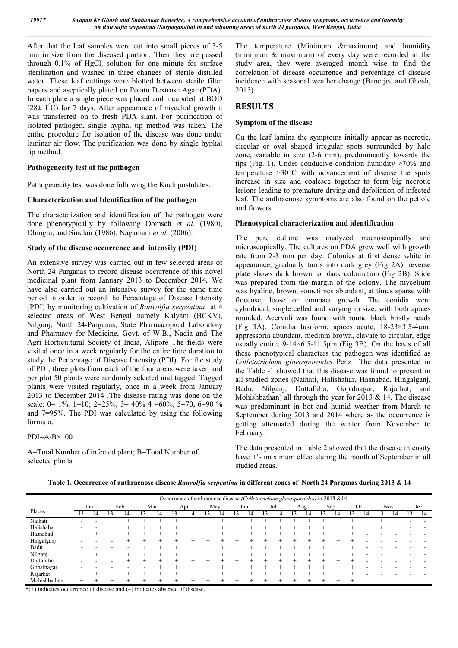*19917 Swapan Kr Ghosh and Subhankar Banerjee, A comprehensive account of anthracnose disease symptoms, occurrence and intensity on Rauvolfia serpentina (Sarpagandha) in and adjoining areas of north 24 parganas, West Bengal, India*

After that the leaf samples were cut into small pieces of 3-5 mm in size from the diseased portion. Then they are passed through  $0.1\%$  of HgCl<sub>2</sub> solution for one minute for surface sterilization and washed in three changes of sterile distilled water. These leaf cuttings were blotted between sterile filter papers and aseptically plated on Potato Dextrose Agar (PDA). In each plate a single piece was placed and incubated at BOD  $(28 \pm 1^{\circ}$ C) for 7 days. After appearance of mycelial growth it was transferred on to fresh PDA slant. For purification of isolated pathogen, single hyphal tip method was taken. The entire procedure for isolation of the disease was done under laminar air flow. The purification was done by single hyphal tip method.

#### **Pathogenecity test of the pathogen**

Pathogenecity test was done following the Koch postulates.

#### **Characterization and Identification of the pathogen**

The characterization and identification of the pathogen were done phenotypically by following Domsch *et al*. (1980), Dhingra, and Sinclair (1986), Nagamani *et al*. (2006).

#### **Study of the disease occurrence and intensity (PDI)**

An extensive survey was carried out in few selected areas of North 24 Parganas to record disease occurrence of this novel medicinal plant from January 2013 to December 2014*.* We have also carried out an intensive survey for the same time period in order to record the Percentage of Disease Intensity (PDI) by monitoring cultivation of *Rauvolfia serpentina* at 4 selected areas of West Bengal namely Kalyani (BCKV), Nilgunj, North 24-Parganas, State Pharmacopical Laboratory and Pharmacy for Medicine, Govt. of W.B., Nadia and The Agri Horticultural Society of India, Alipore The fields were visited once in a week regularly for the entire time duration to study the Percentage of Disease Intensity (PDI). For the study of PDI, three plots from each of the four areas were taken and per plot 50 plants were randomly selected and tagged. Tagged plants were visited regularly, once in a week from January 2013 to December 2014 .The disease rating was done on the scale: 0= 1%, 1=10; 2=25%; 3= 40% 4 = 60%, 5=70, 6=90 % and 7=95%. The PDI was calculated by using the following formula.

 $PDI=A/B\times100$ 

A=Total Number of infected plant; B=Total Number of selected plants.

The temperature (Minimum &maximum) and humidity (minimum & maximum) of every day were recorded in the study area, they were averaged month wise to find the correlation of disease occurrence and percentage of disease incidence with seasonal weather change (Banerjee and Ghosh, 2015).

### **RESULTS**

#### **Symptom of the disease**

On the leaf lamina the symptoms initially appear as necrotic, circular or oval shaped irregular spots surrounded by halo zone, variable in size (2-6 mm), predominantly towards the tips (Fig. 1). Under conducive condition humidity >70% and temperature >30°C with advancement of disease the spots increase in size and coalesce together to form big necrotic lesions leading to premature drying and defoliation of infected leaf. The anthracnose symptoms are also found on the petiole and flowers.

#### **Phenotypical characterization and identification**

The pure culture was analyzed macroscopically and microscopically. The cultures on PDA grew well with growth rate from 2-3 mm per day. Colonies at first dense white in appearance, gradually turns into dark grey (Fig 2A), reverse plate shows dark brown to black colouration (Fig 2B). Slide was prepared from the margin of the colony. The mycelium was hyaline, brown, sometimes abundant, at times sparse with floccose, loose or compact growth. The conidia were cylindrical, single celled and varying in size, with both apices rounded. Acervuli was found with round black bristly heads (Fig 3A). Conidia fusiform, apices acute, 18-23×3.5-4µm. appressoria abundant, medium brown, clavate to circular, edge usually entire, 9-14×6.5-11.5µm (Fig 3B). On the basis of all these phenotypical characters the pathogen was identified as *Colletotrichum gloeosporoides* Penz*.*. The data presented in the Table -1 showed that this disease was found to present in all studied zones (Naihati, Halishahar, Hasnabad, Hingalganj, Badu, Nilganj, Duttafulia, Gopalnagar, Rajarhat, and Mohishbathan) all through the year for 2013  $& 14$ . The disease was predominant in hot and humid weather from March to September during 2013 and 2014 where as the occurrence is getting attenuated during the winter from November to February.

The data presented in Table 2 showed that the disease intensity have it's maximum effect during the month of September in all studied areas.

**Table 1. Occurrence of anthracnose disease** *Rauvolfia serpentina* **in different zones of North 24 Parganas during 2013 & 14**

|              | Occurrence of anthracnose disease (Colletotrichum gloeosporoides) in 2013 & 14 |     |   |     |     |     |               |     |   |     |  |     |    |     |    |     |     |    |     |    |            |  |     |
|--------------|--------------------------------------------------------------------------------|-----|---|-----|-----|-----|---------------|-----|---|-----|--|-----|----|-----|----|-----|-----|----|-----|----|------------|--|-----|
|              |                                                                                | Jan |   | Feb |     | Mar |               | Apr |   | May |  | Jun |    | Jul |    | Aug | Sep |    | Oct |    | <b>Nov</b> |  | Dec |
| Places       | 13                                                                             | 14  | 3 | 14  | í f | 14  | $\rightarrow$ | 14  | د | 14  |  | 14  | 13 | 14  | L. | 14  | 14  | 13 | 14  | د. | 14         |  | 14  |
| Naihati      |                                                                                |     |   |     |     |     |               |     |   |     |  |     |    |     |    |     |     |    |     |    |            |  |     |
| Halishahar   |                                                                                |     |   |     |     |     |               |     |   |     |  |     |    |     |    |     |     |    |     |    |            |  |     |
| Hasnabad     |                                                                                |     |   |     |     |     |               |     |   |     |  |     |    |     |    |     |     |    |     |    |            |  |     |
| Hingalganj   |                                                                                |     |   |     |     |     |               |     |   |     |  |     |    |     |    |     |     |    |     |    |            |  |     |
| Badu         |                                                                                |     |   |     |     |     |               |     |   |     |  |     |    |     |    |     |     |    |     |    |            |  |     |
| Nilganj      |                                                                                |     |   |     |     |     |               |     |   |     |  |     |    |     |    |     |     |    |     |    |            |  |     |
| Duttafulia   |                                                                                |     |   |     |     |     |               |     |   |     |  |     |    |     |    |     |     |    |     |    |            |  |     |
| Gopalnagar   |                                                                                |     |   |     |     |     |               |     |   |     |  |     |    |     |    |     |     |    |     |    |            |  |     |
| Rajarhat     |                                                                                |     |   |     |     |     |               |     |   |     |  |     |    |     |    |     |     |    |     |    |            |  |     |
| Mohishbathan | +                                                                              |     |   |     |     |     |               |     |   |     |  |     |    |     |    |     |     |    |     |    |            |  |     |

**\***(+) indicates occurrence of disease and (–) indicates absence of disease.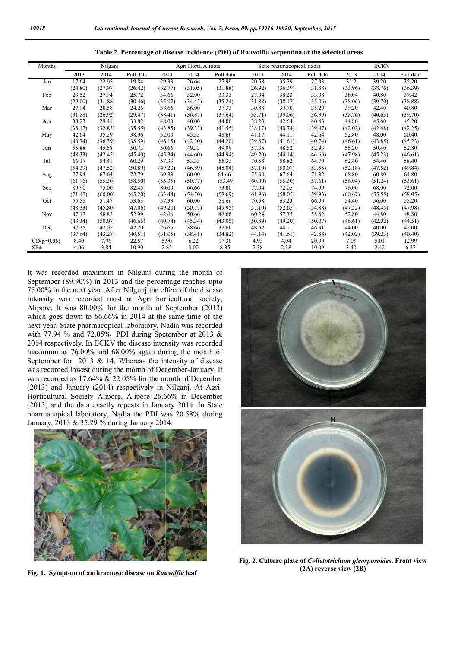| Table 2. Percentage of disease incidence (PDI) of Rauvolfia serpentina at the selected areas |  |  |
|----------------------------------------------------------------------------------------------|--|--|
|                                                                                              |  |  |

| Months       |         | Nilganj |           |         | Agri Horti, Alipore |           |         | State pharmacopical, nadia |           | <b>BCKV</b> |         |           |  |
|--------------|---------|---------|-----------|---------|---------------------|-----------|---------|----------------------------|-----------|-------------|---------|-----------|--|
|              | 2013    | 2014    | Pull data | 2013    | 2014                | Pull data | 2013    | 2014                       | Pull data | 2013        | 2014    | Pull data |  |
| Jan          | 17.64   | 22.05   | 19.84     | 29.33   | 26.66               | 27.99     | 20.58   | 35.29                      | 27.93     | 31.2        | 39.20   | 35.20     |  |
|              | (24.80) | (27.97) | (26.42)   | (32.77) | (31.05)             | (31.88)   | (26.92) | (36.39)                    | (31.88)   | (33.96)     | (38.76) | (36.39)   |  |
| Feb          | 23.52   | 27.94   | 25.72     | 34.66   | 32.00               | 33.33     | 27.94   | 38.23                      | 33.08     | 38.04       | 40.80   | 39.42     |  |
|              | (29.00) | (31.88) | (30.46)   | (35.97) | (34.45)             | (35.24)   | (31.88) | (38.17)                    | (35.06)   | (38.06)     | (39.70) | (38.88)   |  |
| Mar          | 27.94   | 20.58   | 24.26     | 38.66   | 36.00               | 37.33     | 30.88   | 39.70                      | 35.29     | 39.20       | 42.40   | 40.80     |  |
|              | (31.88) | (26.92) | (29.47)   | (38.41) | (36.87)             | (37.64)   | (33.71) | (39.06)                    | (36.39)   | (38.76)     | (40.63) | (39.70)   |  |
| Apr          | 38.23   | 29.41   | 33.82     | 48.00   | 40.00               | 44.00     | 38.23   | 42.64                      | 40.43     | 44.80       | 45.60   | 45.20     |  |
|              | (38.17) | (32.83) | (35.55)   | (43.85) | (39.23)             | (41.55)   | (38.17) | (40.74)                    | (39.47)   | (42.02)     | (42.48) | (42.25)   |  |
| May          | 42.64   | 35.29   | 38.96     | 52.00   | 45.33               | 48.66     | 41.17   | 44.11                      | 42.64     | 52.80       | 48.00   | 50.40     |  |
|              | (40.74) | (36.39) | (38.59)   | (46.15) | (42.30)             | (44.20)   | (39.87) | (41.61)                    | (40.74)   | (46.61)     | (43.85) | (45.23)   |  |
| Jun          | 55.88   | 45.58   | 50.73     | 50.66   | 49.33               | 49.99     | 57.35   | 48.52                      | 52.93     | 55.20       | 50.40   | 52.80     |  |
|              | (48.33) | (42.42) | (45.40)   | (45.34) | (44.60)             | (44.94)   | (49.20) | (44.14)                    | (46.66)   | (47.98)     | (45.23) | (46.61)   |  |
| Jul          | 66.17   | 54.41   | 60.29     | 57.33   | 53.33               | 55.33     | 70.58   | 58.82                      | 64.70     | 62.40       | 54.40   | 58.40     |  |
|              | (54.39) | (47.52) | (50.89)   | (49.20) | (46.89)             | (48.04)   | (57.10) | (50.07)                    | (53.55)   | (52.18)     | (47.52) | (49.84)   |  |
| Aug          | 77.94   | 67.64   | 72.79     | 69.33   | 60.00               | 64.66     | 75.00   | 67.64                      | 71.32     | 68.80       | 60.80   | 64.80     |  |
|              | (61.96) | (55.30) | (58.50)   | (56.35) | (50.77)             | (53.49)   | (60.00) | (55.30)                    | (57.61)   | (56.04)     | (51.24) | (53.61)   |  |
| Sep          | 89.90   | 75.00   | 82.45     | 80.00   | 66.66               | 73.00     | 77.94   | 72.05                      | 74.99     | 76.00       | 68.00   | 72.00     |  |
|              | (71.47) | (60.00) | (65.20)   | (63.44) | (54.70)             | (58.69)   | (61.96) | (58.05)                    | (59.93)   | (60.67)     | (55.55) | (58.05)   |  |
| Oct          | 55.88   | 51.47   | 53.63     | 57.33   | 60.00               | 58.66     | 70.58   | 63.23                      | 66.90     | 54.40       | 56.00   | 55.20     |  |
|              | (48.33) | (45.80) | (47.06)   | (49.20) | (50.77)             | (49.95)   | (57.10) | (52.65)                    | (54.88)   | (47.52)     | (48.45) | (47.98)   |  |
| <b>Nov</b>   | 47.17   | 58.82   | 52.99     | 42.66   | 50.66               | 46.66     | 60.29   | 57.35                      | 58.82     | 52.80       | 44.80   | 48.80     |  |
|              | (43.34) | (50.07) | (46.66)   | (40.74) | (45.34)             | (43.05)   | (50.89) | (49.20)                    | (50.07)   | (46.61)     | (42.02) | (44.51)   |  |
| Dec          | 37.35   | 47.05   | 42.20     | 26.66   | 38.66               | 32.66     | 48.52   | 44.11                      | 46.31     | 44.00       | 40.00   | 42.00     |  |
|              | (37.64) | (43.28) | (40.51)   | (31.05) | (38.41)             | (34.82)   | (44.14) | (41.61)                    | (42.88)   | (42.02)     | (39.23) | (40.40)   |  |
| $CD(p=0.05)$ | 8.40    | 7.96    | 22.57     | 5.90    | 6.22                | 17.30     | 4.93    | 4,94                       | 20.90     | 7.05        | 5.01    | 12.99     |  |
| $SE\pm$      | 4.06    | 3.84    | 10.90     | 2.85    | 3.00                | 8.35      | 2.38    | 2.38                       | 10.09     | 3.40        | 2.42    | 6.27      |  |

It was recorded maximum in Nilgunj during the month of September (89.90%) in 2013 and the percentage reaches upto 75.00% in the next year. After Nilgunj the effect of the disease intensity was recorded most at Agri horticultural society, Alipore. It was 80.00% for the month of September (2013) which goes down to 66.66% in 2014 at the same time of the next year. State pharmacopical laboratory, Nadia was recorded with 77.94 % and 72.05% PDI during Spetember at 2013  $\&$ 2014 respectively. In BCKV the disease intensity was recorded maximum as 76.00% and 68.00% again during the month of September for 2013  $& 14$ . Whereas the intensity of disease maximum as 76.00% and 68.00% again during the month of September for 2013  $\&$  14. Whereas the intensity of disease was recorded lowest during the month of December-January. It was recorded as 17.64% & 22.05% for the month of December  $(2013)$  and January  $(2014)$  respectively in Nilganj. At Agri-Horticultural Society Alipore, Alipore 26.66% in December (2013) and the data exactly repeats in January 2014. In State pharmacopical laboratory, Nadia the PDI was 20.58% during January, 2013 & 35.29 % during January 2014.



**Fig. 1. Symptom of anthracnose disease on** *Rauvolfia* **leaf**



**Fig. 2. Culture plate of** *Colletotrichum gleosporoides Colletotrichum* **. Front view (2A) reverse view ( ) reverse view (2B)**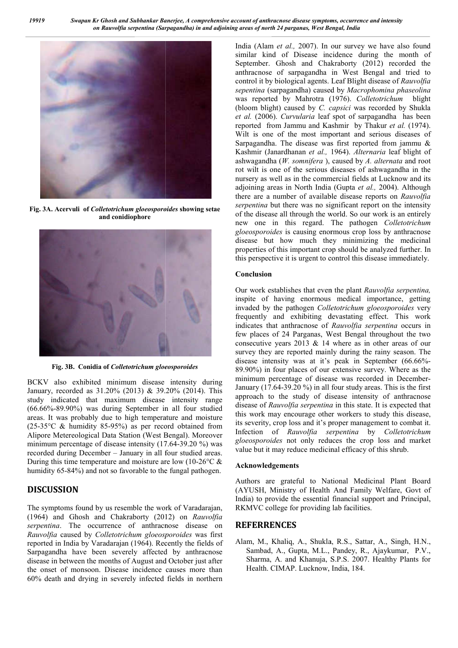

**Fig. 3A. Acervuli of** *Colletotrichum gloeosporoides* **showing setae and conidiophore**



**Fig. 3B. Conidia of** *Colletotrichum gloeosporoides*

BCKV also exhibited minimum disease intensity during January, recorded as 31.20% (2013) & 39.20% (2014). This study indicated that maximum disease intensity range (66.66%-89.90%) was during September in all four studied areas. It was probably due to high temperature and moisture  $(25-35^{\circ}C \&$  humidity 85-95%) as per record obtained from Alipore Metereological Data Station (West Bengal). Moreover minimum percentage of disease intensity (17.64-39.20 %) was recorded during December – January in all four studied areas. During this time temperature and moisture are low (10-26 $\degree$ C & humidity 65-84%) and not so favorable to the fungal pathogen. 89.90%) was during September in all four studied was probably due to high temperature and moisture & humidity 85-95%) as per record obtained from Metereological Data Station (West Bengal). Moreover percentage of disease i

## **DISCUSSION**

The symptoms found by us resemble the work of Varadarajan, (1964) and Ghosh and Chakraborty (2012) on *Rauvolfia serpentina*. The occurrence of anthracnose disease on *Rauvolfia* caused by *Colletotrichum gloeosporoides* was first reported in India by Varadarajan (1964). Recently the fields of Sarpagandha have been severely affected by anthracnose disease in between the months of August and October just after the onset of monsoon. Disease incidence causes more than 60% death and drying in severely infected fields in northern

istant of the distance of the stress of the stress of the stress of the stress of the stress of the stress of the stress of the stress of the stress of the stress of the stress of the stress of the stress of the stress of similar kind of Disease incidence during the month of India (Alam *et al.*, 2007). In our survey we have also found similar kind of Disease incidence during the month of September. Ghosh and Chakraborty (2012) recorded the anthracnose of sarpagandha in West Bengal and tried to anthracnose of sarpagandha in West Bengal and tried to control it by biological agents. Leaf Blight disease of *Rauvolfia* sepentina (sarpagandha) caused by Macrophomina phaseolina was reported by Mahrotra (1976). (1976). *Colletotrichum* blight (bloom blight) caused by *C. capsici* was recorded by Shukla et al. (2006). *Curvularia* leaf spot of sarpagandha has been reported from Jammu and Kashmir by Thakur *et al.* (1974). Wilt is one of the most important and serious diseases of Wilt is one of the most important and serious diseases of Sarpagandha. The disease was first reported from jammu  $\&$ Kashmir (Janardhanan *et al.,* 1964). *Alternaria* leaf blight of ashwagandha (*W. somnifera* ), caused by ), caused by *A. alternata* and root rot wilt is one of the serious diseases of ashwagandha in the nursery as well as in the commercial fields at Lucknow and its adjoining areas in *North India* (Gupta *et al., 2004*). Although adjoining areas in North India (Gupta et al., 2004). Although there are a number of available disease reports on *Rauvolfia* serpentina but there was no significant report on the intensity of the disease all through the world. So our work is an entirely new one in this regard. The pathogen *Colletotrichum gloeosporoides* is causing enormous crop loss by anthracnose disease but how much they minimizing the medicinal properties of this important crop should be analyzed further. In this perspective it is urgent to control this disease immediately. g enormous crop loss by anthracnose<br>h they minimizing the medicinal<br>nt crop should be analyzed further. In<br>to control this disease immediately.

### **Conclusion**

Our work establishes that even the plant *Rauvolfia serpentina,*  inspite of having enormous medical importance, getting invaded by the pathogen *Colletotrichum gloeosporoides* very frequently and exhibiting devastating effect. This work indicates that anthracnose of *Rauvolfia serpentina* occurs in few places of 24 Parganas, West Bengal throughout the two consecutive years 2013 & 14 where as in other areas of our survey they are reported mainly during the rainy season. The few places of 24 Parganas, West Bengal throughout the two consecutive years 2013 & 14 where as in other areas of our survey they are reported mainly during the rainy season. The disease intensity was at it's peak in Septe 89.90%) in four places of our extensive survey. Where as the minimum percentage of disease was recorded in December-January (17.64-39.20 %) in all four study areas. This is the first January (17.64-39.20 %) in all four study areas. This is the first approach to the study of disease intensity of anthracnose disease of *Rauvolfia serpentina* in this state. It is expected that this work may encourage other workers to study this disease, its severity, crop loss and it's proper management to combat it. its severity, crop loss and it's proper management to combat it. Infection of *Rauvolfia serpentina* by *Colletotrichum gloeosporoides* not only reduces the crop loss and market value but it may reduce medicinal efficacy of this shrub.

#### **Acknowledgements**

Authors are grateful to National Medicinal Plant Board (AYUSH, Ministry of Health And Family Welfare, Govt of India) to provide the essential financial support and Principal, RKMVC college for providing lab facilities.

## **REFERRENCES**

Alam, M., Khaliq, A., Shukla, R.S., Sattar, A., Singh, H.N., Sambad, A., Gupta, M.L., Pandey, R., Ajaykumar, P.V., Sharma, A. and Khanuja, S.P.S. 2007. Healthy Plants for Health. CIMAP. Lucknow, India, 184. Authors are grateful to National Medicinal Plant Board (AYUSH, Ministry of Health And Family Welfare, Govt of India) to provide the essential financial support and Principal, RKMVC college for providing lab facilities.<br> **R**